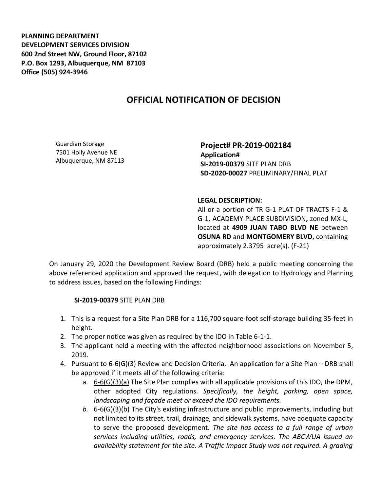**PLANNING DEPARTMENT DEVELOPMENT SERVICES DIVISION 600 2nd Street NW, Ground Floor, 87102 P.O. Box 1293, Albuquerque, NM 87103 Office (505) 924-3946** 

# **OFFICIAL NOTIFICATION OF DECISION**

Guardian Storage 7501 Holly Avenue NE Albuquerque, NM 87113 **Project# PR-2019-002184 Application# SI-2019-00379** SITE PLAN DRB **SD-2020-00027** PRELIMINARY/FINAL PLAT

#### **LEGAL DESCRIPTION:**

All or a portion of TR G-1 PLAT OF TRACTS F-1 & G-1, ACADEMY PLACE SUBDIVISION**,** zoned MX-L, located at **4909 JUAN TABO BLVD NE** between **OSUNA RD** and **MONTGOMERY BLVD**, containing approximately 2.3795 acre(s). (F-21)

On January 29, 2020 the Development Review Board (DRB) held a public meeting concerning the above referenced application and approved the request, with delegation to Hydrology and Planning to address issues, based on the following Findings:

#### **SI-2019-00379** SITE PLAN DRB

- 1. This is a request for a Site Plan DRB for a 116,700 square-foot self-storage building 35-feet in height.
- 2. The proper notice was given as required by the IDO in Table 6-1-1.
- 3. The applicant held a meeting with the affected neighborhood associations on November 5, 2019.
- 4. Pursuant to 6-6(G)(3) Review and Decision Criteria. An application for a Site Plan DRB shall be approved if it meets all of the following criteria:
	- a. 6-6(G)(3)(a) The Site Plan complies with all applicable provisions of this IDO, the DPM, other adopted City regulations. *Specifically, the height, parking, open space, landscaping and façade meet or exceed the IDO requirements.*
	- *b.* 6-6(G)(3)(b) The City's existing infrastructure and public improvements, including but not limited to its street, trail, drainage, and sidewalk systems, have adequate capacity to serve the proposed development. *The site has access to a full range of urban services including utilities, roads, and emergency services. The ABCWUA issued an availability statement for the site. A Traffic Impact Study was not required. A grading*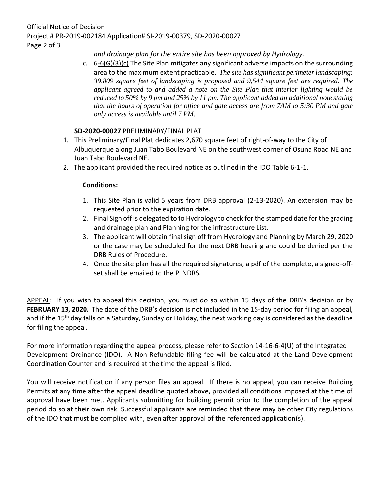## *and drainage plan for the entire site has been approved by Hydrology.*

c. 6-6(G)(3)(c) The Site Plan mitigates any significant adverse impacts on the surrounding area to the maximum extent practicable. *The site has significant perimeter landscaping: 39,809 square feet of landscaping is proposed and 9,544 square feet are required. The applicant agreed to and added a note on the Site Plan that interior lighting would be reduced to 50% by 9 pm and 25% by 11 pm. The applicant added an additional note stating that the hours of operation for office and gate access are from 7AM to 5:30 PM and gate only access is available until 7 PM.*

## **SD-2020-00027** PRELIMINARY/FINAL PLAT

- 1. This Preliminary/Final Plat dedicates 2,670 square feet of right-of-way to the City of Albuquerque along Juan Tabo Boulevard NE on the southwest corner of Osuna Road NE and Juan Tabo Boulevard NE.
- 2. The applicant provided the required notice as outlined in the IDO Table 6-1-1.

#### **Conditions:**

- 1. This Site Plan is valid 5 years from DRB approval (2-13-2020). An extension may be requested prior to the expiration date.
- 2. Final Sign off is delegated to to Hydrology to check for the stamped date for the grading and drainage plan and Planning for the infrastructure List.
- 3. The applicant will obtain final sign off from Hydrology and Planning by March 29, 2020 or the case may be scheduled for the next DRB hearing and could be denied per the DRB Rules of Procedure.
- 4. Once the site plan has all the required signatures, a pdf of the complete, a signed-offset shall be emailed to the PLNDRS.

APPEAL: If you wish to appeal this decision, you must do so within 15 days of the DRB's decision or by **FEBRUARY 13, 2020.** The date of the DRB's decision is not included in the 15-day period for filing an appeal, and if the 15<sup>th</sup> day falls on a Saturday, Sunday or Holiday, the next working day is considered as the deadline for filing the appeal.

For more information regarding the appeal process, please refer to Section 14-16-6-4(U) of the Integrated Development Ordinance (IDO). A Non-Refundable filing fee will be calculated at the Land Development Coordination Counter and is required at the time the appeal is filed.

You will receive notification if any person files an appeal. If there is no appeal, you can receive Building Permits at any time after the appeal deadline quoted above, provided all conditions imposed at the time of approval have been met. Applicants submitting for building permit prior to the completion of the appeal period do so at their own risk. Successful applicants are reminded that there may be other City regulations of the IDO that must be complied with, even after approval of the referenced application(s).